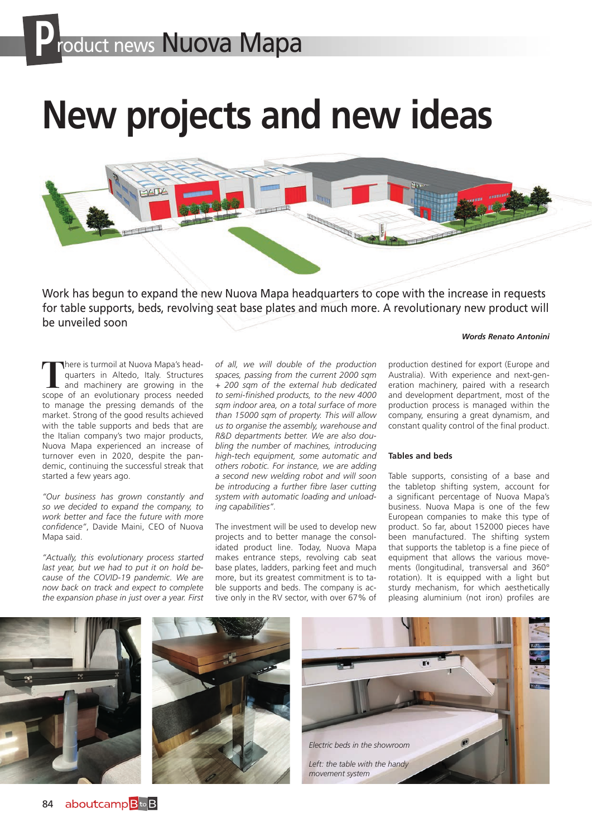# **New projects and new ideas**



Work has begun to expand the new Nuova Mapa headquarters to cope with the increase in requests for table supports, beds, revolving seat base plates and much more. A revolutionary new product will be unveiled soon

#### *Words Renato Antonini*

There is turmoil at Nuova Mapa's head-<br>quarters in Altedo, Italy. Structures<br>and machinery are growing in the<br>scope of an evolutionary process needed quarters in Altedo, Italy. Structures and machinery are growing in the scope of an evolutionary process needed to manage the pressing demands of the market. Strong of the good results achieved with the table supports and beds that are the Italian company's two major products, Nuova Mapa experienced an increase of turnover even in 2020, despite the pandemic, continuing the successful streak that started a few years ago.

*"Our business has grown constantly and so we decided to expand the company, to work better and face the future with more confidence"*, Davide Maini, CEO of Nuova Mapa said.

*"Actually, this evolutionary process started last year, but we had to put it on hold because of the COVID-19 pandemic. We are now back on track and expect to complete the expansion phase in just over a year. First* 

*of all, we will double of the production spaces, passing from the current 2000 sqm + 200 sqm of the external hub dedicated to semi-finished products, to the new 4000 sqm indoor area, on a total surface of more than 15000 sqm of property. This will allow us to organise the assembly, warehouse and R&D departments better. We are also doubling the number of machines, introducing high-tech equipment, some automatic and others robotic. For instance, we are adding a second new welding robot and will soon be introducing a further fibre laser cutting system with automatic loading and unloading capabilities".*

The investment will be used to develop new projects and to better manage the consolidated product line. Today, Nuova Mapa makes entrance steps, revolving cab seat base plates, ladders, parking feet and much more, but its greatest commitment is to table supports and beds. The company is active only in the RV sector, with over 67% of

production destined for export (Europe and Australia). With experience and next-generation machinery, paired with a research and development department, most of the production process is managed within the company, ensuring a great dynamism, and constant quality control of the final product.

#### **Tables and beds**

Table supports, consisting of a base and the tabletop shifting system, account for a significant percentage of Nuova Mapa's business. Nuova Mapa is one of the few European companies to make this type of product. So far, about 152000 pieces have been manufactured. The shifting system that supports the tabletop is a fine piece of equipment that allows the various movements (longitudinal, transversal and 360° rotation). It is equipped with a light but sturdy mechanism, for which aesthetically pleasing aluminium (not iron) profiles are